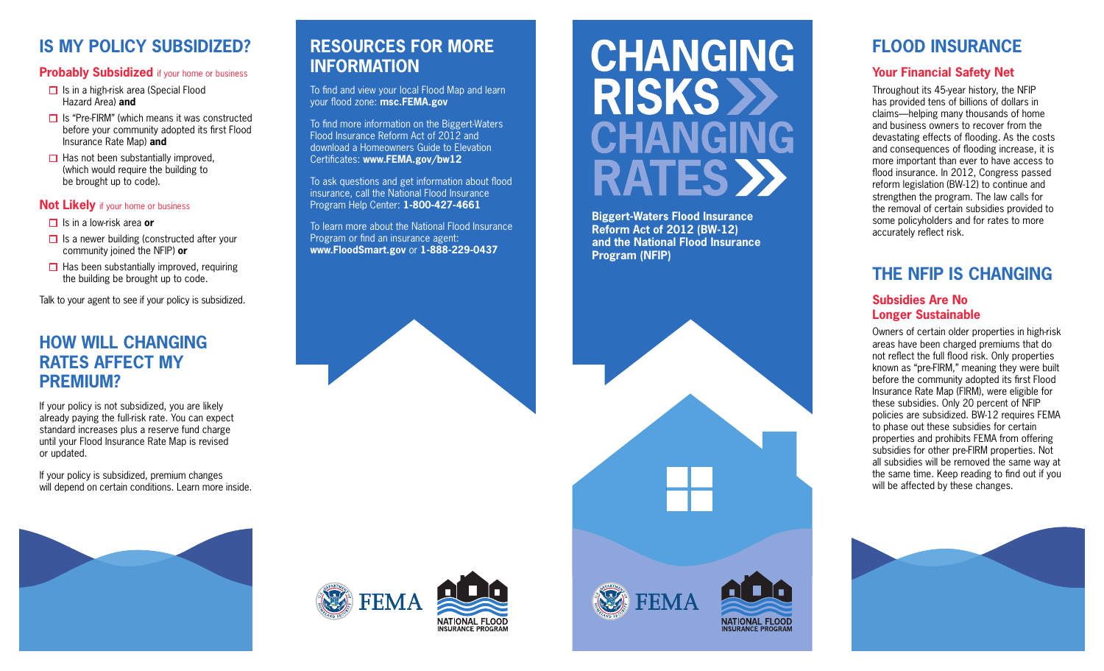# **IS MY POLICY SUBSIDIZED?**

#### **Probably Subsidized** if your home or business

- $\Box$  Is in a high-risk area (Special Flood Hazard Area) **and**
- $\Box$  Is "Pre-FIRM" (which means it was constructed before your community adopted its first Flood Insurance Rate Map) **and**
- $\Box$  Has not been substantially improved, (which would require the building to be brought up to code).

#### **Not Likely** if your home or business

- **□** Is in a low-risk area or
- $\Box$  Is a newer building (constructed after your community joined the NFIP) **or**
- $\Box$  Has been substantially improved, requiring the building be brought up to code.

Talk to your agent to see if your policy is subsidized.

## **HOW WILL CHANGING RATES AFFECT MY PREMIUM?**

If your policy is not subsidized, you are likely already paying the full-risk rate. You can expect standard increases plus a reserve fund charge until your Flood Insurance Rate Map is revised or updated.

If your policy is subsidized, premium changes will depend on certain conditions. Learn more inside.

# **RESOURCES FOR MORE INFORMATION**

To find and view your local Flood Map and learn your flood zone: **msc.FEMA.gov**

To find more information on the Biggert-Waters Flood Insurance Reform Act of 2012 and download a Homeowners Guide to Elevation Certificates: **www.FEMA.gov/bw12**

To ask questions and get information about flood insurance, call the National Flood Insurance Program Help Center: **1-800-427-4661**

Program or find an insurance agent: **www.FloodSmart.gov** or **1-888-229-0437**

# **CHANGING RISKS >> CHANGING RATES >>**

Is in a low-risk area or **Exercise 2012 IS and Transfer Conducts** To learn more about the National Flood Insurance<br>
In a low-risk area or **EXELLENT TO STATE TO A THE STATE OF THE STATE OF THE STATE OF THE STATE OF THE STAT Reform Act of 2012 (BW-12) and the National Flood Insurance Program (NFIP)**



# **FLOOD INSURANCE**

### **Your Financial Safety Net**

Throughout its 45-year history, the NFIP has provided tens of billions of dollars in claims—helping many thousands of home and business owners to recover from the devastating effects of flooding. As the costs and consequences of flooding increase, it is more important than ever to have access to flood insurance. In 2012, Congress passed reform legislation (BW-12) to continue and strengthen the program. The law calls for the removal of certain subsidies provided to some policyholders and for rates to more accurately reflect risk.

# **THE NFIP IS CHANGING**

#### **Subsidies Are No Longer Sustainable**

Owners of certain older properties in high-risk areas have been charged premiums that do not reflect the full flood risk. Only properties known as "pre-FIRM," meaning they were built before the community adopted its first Flood Insurance Rate Map (FIRM), were eligible for these subsidies. Only 20 percent of NFIP policies are subsidized. BW-12 requires FEMA to phase out these subsidies for certain properties and prohibits FEMA from offering subsidies for other pre-FIRM properties. Not all subsidies will be removed the same way at the same time. Keep reading to find out if you will be affected by these changes.